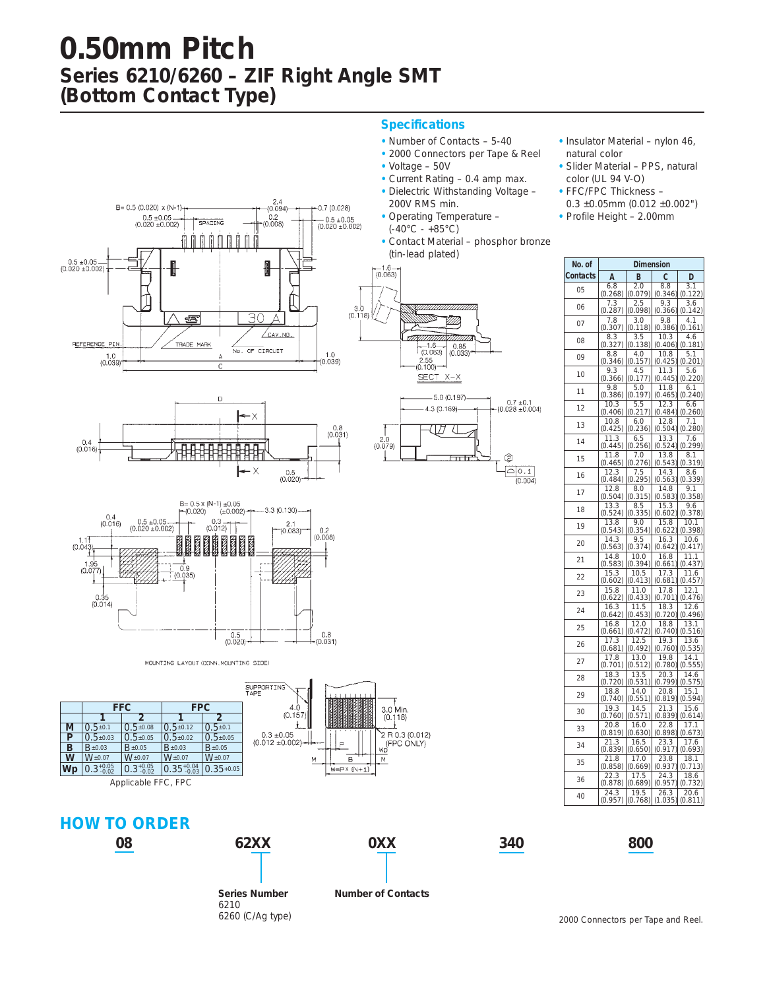## **0.50mm Pitch Series 6210/6260 – ZIF Right Angle SMT (Bottom Contact Type)**

#### **Specifications**

- Number of Contacts 5-40
- 2000 Connectors per Tape & Reel
- Voltage 50V
- Current Rating 0.4 amp max.
- Dielectric Withstanding Voltage 200V RMS min.
- Operating Temperature  $(-40^{\circ}C - +85^{\circ}C)$
- Contact Material phosphor bronze (tin-lead plated)



- Slider Material PPS, natural color (UL 94 V-O)
- FFC/FPC Thickness –
- $0.3 \pm 0.05$ mm (0.012  $\pm 0.002$ ")
- Profile Height 2.00mm







| No. of   | Dimension          |                       |                 |                 |
|----------|--------------------|-----------------------|-----------------|-----------------|
| Contacts | A                  | в                     | C               | D               |
| 05       | 6.8                | 2.0                   | 8.8             | 3.1             |
|          | (0.268)            | (0.079)               | (0.346)         | (0.122)         |
| 06       | 7.3<br>(0.287)     | 2.5<br>(0.098)        | 9.3<br>(0.366)  | 3.6<br>(0.142)  |
|          | 7.8                | 3.0                   | 9.8             | 4.1             |
| 07       | (0.307)            | (0.118)               | (0.386)         | (0.161)         |
| 08       | 8.3                | $\frac{3.5}{(0.138)}$ | 10.3            | 4.6             |
|          | (0.327)            |                       | (0.406)         | (0.181)         |
| 09       | 8.8<br>(0.346)     | 4.0<br>(0.157)        | 10.8<br>(0.425) | 5.1<br>(0.201)  |
| 10       | 9.3                | $\frac{4.5}{(0.177)}$ | 11.3            | 5.6             |
|          | (0.366)            |                       | (0.445)         | (0.220)         |
| 11       | 9.8<br>(0.386)     | 5.0<br>(0.197)        | 11.8<br>(0.465) | 6.1<br>(0.240)  |
|          | 10.3               | 5.5                   | 12.3            | 6.6             |
| 12       | (0.406)            | (0.217)               | (0.484)         | (0.260)         |
| 13       | 10.8               | 6.0                   | 12.8            | 7.1             |
|          | (0.425             | (0.236)               | (0.504)         | (0.280)         |
| 14       | 11.3<br>(0.445     | 6.5<br>(0.256)        | 13.3<br>(0.524) | 7.6<br>(0.299)  |
| 15       | $\overline{1}$ 1.8 | 7.0                   | 13.8            | 8.1             |
|          | (0.465)            | (0.276)               | (0.543)         | (0.319)         |
| 16       | 12.3<br>(0.484)    | 7.5<br>(0.295)        | 14.3<br>(0.563) | 8.6<br>(0.339)  |
|          | 12.8               | 8.0                   | 14.8            | 9.1             |
| 17       | (0.504)            | (0.315)               | (0.583)         | (0.358)         |
| 18       | 13.3               | 8.5                   | 15.3            | 9.6             |
|          | (0.524)<br>13.8    | (0.335)<br>9.0        | (0.602)<br>15.8 | (0.378)<br>10.1 |
| 19       | (0.543)            | (0.354)               | (0.622)         | (0.398)         |
| 20       | 14.3               | $\overline{9.5}$      | 16.3            | 10.6            |
|          | (0.563)            | (0.374)               | (0.642)         | (0.417)         |
| 21       | 14.8<br>(0.583)    | 10.0<br>(0.394)       | 16.8<br>(0.661) | 11.1<br>(0.437) |
|          | 15.3               | 10.5                  | 17.3            | 11.6            |
| 22       | (0.602)            | (0.413)               | (0.681)         | (0.457)         |
| 23       | 15.8               | 11.0<br>(0.433)       | 17.8<br>(0.701) | 12.1<br>(0.476) |
|          | (0.622)<br>16.3    | 11.5                  | 18.3            | 12.6            |
| 24       | (0.642)            | (0.453)               | (0.720)         | (0.496)         |
| 25       | 16.8               | 12.0                  | 18.8            | 13.1            |
|          | (0.661)<br>17.3    | (0.472)<br>12.5       | (0.740)<br>19.3 | (0.516)<br>13.6 |
| 26       | (0.681)            | (0.492)               | (0.760)         | (0.535)         |
| 27       | 17.8               | $\overline{13.0}$     | 19.8            | 1<br>14.        |
|          | (0.701)            | (0.512)               | (0.780)         | (0.555)         |
| 28       | 18.3<br>(0.720)    | 13.5<br>(0.531)       | 20.3<br>(0.799) | 14.6<br>(0.575) |
| 29       | 18.8               | 14.0                  | 20.8            | 15.1            |
|          | (0.740)            | (0.551)               | (0.819)         | (0.594)         |
| 30       | 19.3<br>(0.760)    | 14.5<br>(0.571)       | 21.3<br>(0.839) | 15.6<br>(0.614) |
|          | 20.8               | 16.0                  | 22.8            | 17.1            |
| 33       | (0.819             | (0.630)               | (0.898)         | (0.673)         |
| 34       | 21.3               | 16.5                  | 23.3            | 17.6            |
|          | (0.839)            | (0.650)<br>17.0       | (0.917)<br>23.8 | (0.693)         |
| 35       | 21.8<br>(0.858)    | (0.669)               | (0.937)         | 18.1<br>(0.713) |
| 36       | 22.3               | 17.5                  | 24.3            | 18.6            |
|          | (0.878)            | (0.689)               | (0.957          | (0.732          |
| 40       | 24.3<br>(0.957)    | 19.5<br>(0.768)       | 26.3<br>(1.035) | 20.6<br>(0.811) |
|          |                    |                       |                 |                 |



MOUNTING LAYOUT (CONN, MOUNTING SIDE)

|                     |                       |                       |                        |                | SU<br>TΔ |
|---------------------|-----------------------|-----------------------|------------------------|----------------|----------|
|                     | <b>FFC</b>            |                       | <b>FPC</b>             |                |          |
|                     |                       |                       |                        |                |          |
| M                   | $0.5 + 0.1$           | $0.5 \pm 0.08$        | $0.5 \pm 0.12$         | $0.5 \pm 0.1$  |          |
| P                   | $0.5 \pm 0.03$        | $0.5 \pm 0.05$        | $0.5 \pm 0.02$         | $0.5 \pm 0.05$ |          |
| в                   | $B_{\pm 0.03}$        | $B_{\pm 0.05}$        | $B \pm 0.03$           | $B_{\pm 0.05}$ |          |
| W                   | $W_{\pm 0.07}$        | $W_{\pm 0.07}$        | $W_{\pm 0.07}$         | $W_{\pm 0.07}$ |          |
| Wp                  | $0.3_{-0.02}^{+0.05}$ | $0.3_{-0.02}^{+0.05}$ | $0.35_{-0.03}^{+0.04}$ | $0.35 + 0.05$  |          |
| Applicable FFC, FPC |                       |                       |                        |                |          |













**0XX**



6260 (C/Ag type) **Number of Contacts**

2000 Connectors per Tape and Reel.